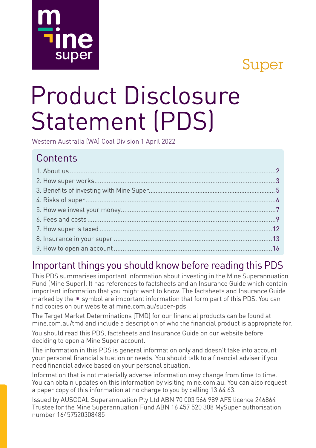## Super

# Product Disclosure Statement (PDS)

Western Australia (WA) Coal Division 1 April 2022

## **Contents**

super

## Important things you should know before reading this PDS

This PDS summarises important information about investing in the Mine Superannuation Fund (Mine Super). It has references to factsheets and an Insurance Guide which contain important information that you might want to know. The factsheets and Insurance Guide marked by the  $\equiv$  symbol are important information that form part of this PDS. You can find copies on our website at mine.com.au/super-pds

The Target Market Determinations (TMD) for our financial products can be found at mine.com.au/tmd and include a description of who the financial product is appropriate for.

You should read this PDS, factsheets and Insurance Guide on our website before deciding to open a Mine Super account.

The information in this PDS is general information only and doesn't take into account your personal financial situation or needs. You should talk to a financial adviser if you need financial advice based on your personal situation.

Information that is not materially adverse information may change from time to time. You can obtain updates on this information by visiting mine.com.au. You can also request a paper copy of this information at no charge to you by calling 13 64 63.

Issued by AUSCOAL Superannuation Pty Ltd ABN 70 003 566 989 AFS licence 246864 Trustee for the Mine Superannuation Fund ABN 16 457 520 308 MySuper authorisation number 16457520308485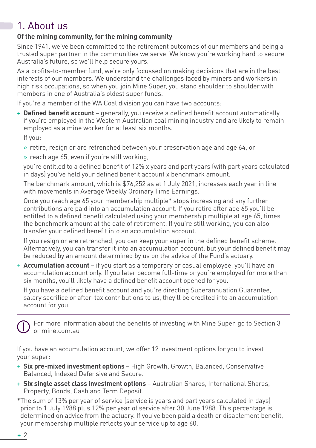## 1. About us

#### **Of the mining community, for the mining community**

Since 1941, we've been committed to the retirement outcomes of our members and being a trusted super partner in the communities we serve. We know you're working hard to secure Australia's future, so we'll help secure yours.

As a profits-to-member fund, we're only focussed on making decisions that are in the best interests of our members. We understand the challenges faced by miners and workers in high risk occupations, so when you join Mine Super, you stand shoulder to shoulder with members in one of Australia's oldest super funds.

If you're a member of the WA Coal division you can have two accounts:

+ **Defined benefit account** – generally, you receive a defined benefit account automatically if you're employed in the Western Australian coal mining industry and are likely to remain employed as a mine worker for at least six months.

If you:

- » retire, resign or are retrenched between your preservation age and age 64, or
- » reach age 65, even if you're still working,

 you're entitled to a defined benefit of 12% x years and part years (with part years calculated in days) you've held your defined benefit account x benchmark amount.

The benchmark amount, which is \$76,252 as at 1 July 2021, increases each year in line with movements in Average Weekly Ordinary Time Earnings.

Once you reach age 65 your membership multiple\* stops increasing and any further contributions are paid into an accumulation account. If you retire after age 65 you'll be entitled to a defined benefit calculated using your membership multiple at age 65, times the benchmark amount at the date of retirement. If you're still working, you can also transfer your defined benefit into an accumulation account.

If you resign or are retrenched, you can keep your super in the defined benefit scheme. Alternatively, you can transfer it into an accumulation account, but your defined benefit may be reduced by an amount determined by us on the advice of the Fund's actuary.

+ **Accumulation account** – if you start as a temporary or casual employee, you'll have an accumulation account only. If you later become full-time or you're employed for more than six months, you'll likely have a defined benefit account opened for you.

 If you have a defined benefit account and you're directing Superannuation Guarantee, salary sacrifice or after-tax contributions to us, they'll be credited into an accumulation account for you.

 For more information about the benefits of investing with Mine Super, go to Section 3 or mine.com.au

If you have an accumulation account, we offer 12 investment options for you to invest your super:

- + **Six pre-mixed investment options**  High Growth, Growth, Balanced, Conservative Balanced, Indexed Defensive and Secure.
- + **Six single asset class investment options**  Australian Shares, International Shares, Property, Bonds, Cash and Term Deposit.
- \*The sum of 13% per year of service (service is years and part years calculated in days) prior to 1 July 1988 plus 12% per year of service after 30 June 1988. This percentage is determined on advice from the actuary. If you've been paid a death or disablement benefit, your membership multiple reflects your service up to age 60.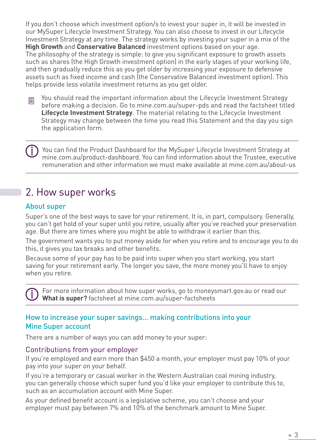If you don't choose which investment option/s to invest your super in, it will be invested in our MySuper Lifecycle Investment Strategy. You can also choose to invest in our Lifecycle Investment Strategy at any time. The strategy works by investing your super in a mix of the **High Growth** and **Conservative Balanced** investment options based on your age. The philosophy of the strategy is simple: to give you significant exposure to growth assets such as shares (the High Growth investment option) in the early stages of your working life, and then gradually reduce this as you get older by increasing your exposure to defensive assets such as fixed income and cash (the Conservative Balanced investment option). This helps provide less volatile investment returns as you get older.

圁

You should read the important information about the Lifecycle Investment Strategy before making a decision. Go to mine.com.au/super-pds and read the factsheet titled **Lifecycle Investment Strategy**. The material relating to the Lifecycle Investment Strategy may change between the time you read this Statement and the day you sign the application form.

 You can find the Product Dashboard for the MySuper Lifecycle Investment Strategy at mine.com.au/product-dashboard. You can find information about the Trustee, executive remuneration and other information we must make available at mine.com.au/about-us

## 2. How super works

#### About super

Super's one of the best ways to save for your retirement. It is, in part, compulsory. Generally, you can't get hold of your super until you retire, usually after you've reached your preservation age. But there are times where you might be able to withdraw it earlier than this.

The government wants you to put money aside for when you retire and to encourage you to do this, it gives you tax breaks and other benefits.

Because some of your pay has to be paid into super when you start working, you start saving for your retirement early. The longer you save, the more money you'll have to enjoy when you retire.

 For more information about how super works, go to moneysmart.gov.au or read our **What is super?** factsheet at mine.com.au/super-factsheets

#### How to increase your super savings… making contributions into your Mine Super account

There are a number of ways you can add money to your super:

#### Contributions from your employer

If you're employed and earn more than \$450 a month, your employer must pay 10% of your pay into your super on your behalf.

If you're a temporary or casual worker in the Western Australian coal mining industry, you can generally choose which super fund you'd like your employer to contribute this to, such as an accumulation account with Mine Super.

As your defined benefit account is a legislative scheme, you can't choose and your employer must pay between 7% and 10% of the benchmark amount to Mine Super.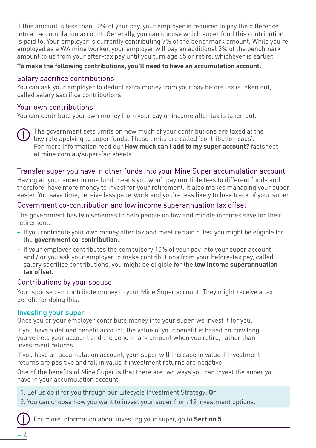If this amount is less than 10% of your pay, your employer is required to pay the difference into an accumulation account. Generally, you can choose which super fund this contribution is paid to. Your employer is currently contributing 7% of the benchmark amount. While you're employed as a WA mine worker, your employer will pay an additional 3% of the benchmark amount to us from your after-tax pay until you turn age 65 or retire, whichever is earlier.

#### **To make the following contributions, you'll need to have an accumulation account.**

#### Salary sacrifice contributions

You can ask your employer to deduct extra money from your pay before tax is taken out, called salary sacrifice contributions.

#### Your own contributions

You can contribute your own money from your pay or income after tax is taken out.

 The government sets limits on how much of your contributions are taxed at the low rate applying to super funds. These limits are called 'contribution caps'. For more information read our **How much can I add to my super account?** factsheet at mine.com.au/super-factsheets

#### Transfer super you have in other funds into your Mine Super accumulation account

Having all your super in one fund means you won't pay multiple fees to different funds and therefore, have more money to invest for your retirement. It also makes managing your super easier. You save time, receive less paperwork and you're less likely to lose track of your super.

#### Government co-contribution and low income superannuation tax offset

The government has two schemes to help people on low and middle incomes save for their retirement.

- + If you contribute your own money after tax and meet certain rules, you might be eligible for the **government co-contribution.**
- + If your employer contributes the compulsory 10% of your pay into your super account and / or you ask your employer to make contributions from your before-tax pay, called salary sacrifice contributions, you might be eligible for the **low income superannuation tax offset.**

#### Contributions by your spouse

Your spouse can contribute money to your Mine Super account. They might receive a tax benefit for doing this.

#### Investing your super

Once you or your employer contribute money into your super, we invest it for you.

If you have a defined benefit account, the value of your benefit is based on how long you've held your account and the benchmark amount when you retire, rather than investment returns.

If you have an accumulation account, your super will increase in value if investment returns are positive and fall in value if investment returns are negative.

One of the benefits of Mine Super is that there are two ways you can invest the super you have in your accumulation account.

- 1. Let us do it for you through our Lifecycle Investment Strategy; **Or**
- 2. You can choose how you want to invest your super from 12 investment options.

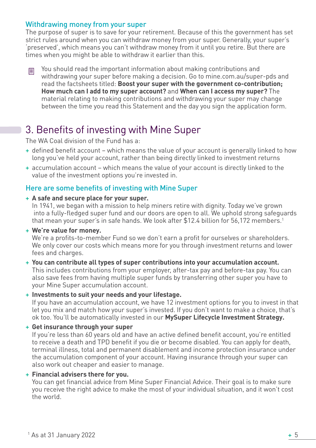#### Withdrawing money from your super

The purpose of super is to save for your retirement. Because of this the government has set strict rules around when you can withdraw money from your super. Generally, your super's 'preserved', which means you can't withdraw money from it until you retire. But there are times when you might be able to withdraw it earlier than this.

You should read the important information about making contributions and 目 withdrawing your super before making a decision. Go to mine.com.au/super-pds and read the factsheets titled: **Boost your super with the government co-contribution; How much can I add to my super account?** and **When can I access my super?** The material relating to making contributions and withdrawing your super may change between the time you read this Statement and the day you sign the application form.

## 3. Benefits of investing with Mine Super

The WA Coal division of the Fund has a:

- + defined benefit account which means the value of your account is generally linked to how long you've held your account, rather than being directly linked to investment returns
- + accumulation account which means the value of your account is directly linked to the value of the investment options you're invested in.

#### Here are some benefits of investing with Mine Super

+ **A safe and secure place for your super.**

In 1941, we began with a mission to help miners retire with dignity. Today we've grown into a fully-fledged super fund and our doors are open to all. We uphold strong safeguards that mean your super's in safe hands. We look after \$12.4 billion for 56,172 members.1

#### + **We're value for money.**

We're a profits-to-member Fund so we don't earn a profit for ourselves or shareholders. We only cover our costs which means more for you through investment returns and lower fees and charges.

+ **You can contribute all types of super contributions into your accumulation account.** This includes contributions from your employer, after-tax pay and before-tax pay. You can also save fees from having multiple super funds by transferring other super you have to your Mine Super accumulation account.

#### + **Investments to suit your needs and your lifestage.**

If you have an accumulation account, we have 12 investment options for you to invest in that let you mix and match how your super's invested. If you don't want to make a choice, that's ok too. You'll be automatically invested in our **MySuper Lifecycle Investment Strategy.**

#### + **Get insurance through your super**

If you're less than 60 years old and have an active defined benefit account, you're entitled to receive a death and TPD benefit if you die or become disabled. You can apply for death, terminal illness, total and permanent disablement and income protection insurance under the accumulation component of your account. Having insurance through your super can also work out cheaper and easier to manage.

#### + **Financial advisers there for you.**

You can get financial advice from Mine Super Financial Advice. Their goal is to make sure you receive the right advice to make the most of your individual situation, and it won't cost the world.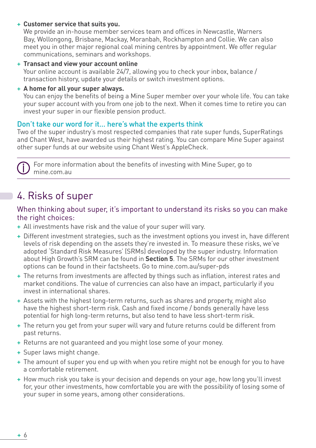+ **Customer service that suits you.**

We provide an in-house member services team and offices in Newcastle, Warners Bay, Wollongong, Brisbane, Mackay, Moranbah, Rockhampton and Collie. We can also meet you in other major regional coal mining centres by appointment. We offer regular communications, seminars and workshops.

- + **Transact and view your account online** Your online account is available 24/7, allowing you to check your inbox, balance / transaction history, update your details or switch investment options.
- + **A home for all your super always.**

You can enjoy the benefits of being a Mine Super member over your whole life. You can take your super account with you from one job to the next. When it comes time to retire you can invest your super in our flexible pension product.

#### Don't take our word for it… here's what the experts think

Two of the super industry's most respected companies that rate super funds, SuperRatings and Chant West, have awarded us their highest rating. You can compare Mine Super against other super funds at our website using Chant West's AppleCheck.

 For more information about the benefits of investing with Mine Super, go to mine.com.au

## 4. Risks of super

#### When thinking about super, it's important to understand its risks so you can make the right choices:

- + All investments have risk and the value of your super will vary.
- + Different investment strategies, such as the investment options you invest in, have different levels of risk depending on the assets they're invested in. To measure these risks, we've adopted 'Standard Risk Measures' (SRMs) developed by the super industry. Information about High Growth's SRM can be found in **Section 5**. The SRMs for our other investment options can be found in their factsheets. Go to mine.com.au/super-pds
- + The returns from investments are affected by things such as inflation, interest rates and market conditions. The value of currencies can also have an impact, particularly if you invest in international shares.
- + Assets with the highest long-term returns, such as shares and property, might also have the highest short-term risk. Cash and fixed income / bonds generally have less potential for high long-term returns, but also tend to have less short-term risk.
- + The return you get from your super will vary and future returns could be different from past returns.
- + Returns are not guaranteed and you might lose some of your money.
- + Super laws might change.
- + The amount of super you end up with when you retire might not be enough for you to have a comfortable retirement.
- + How much risk you take is your decision and depends on your age, how long you'll invest for, your other investments, how comfortable you are with the possibility of losing some of your super in some years, among other considerations.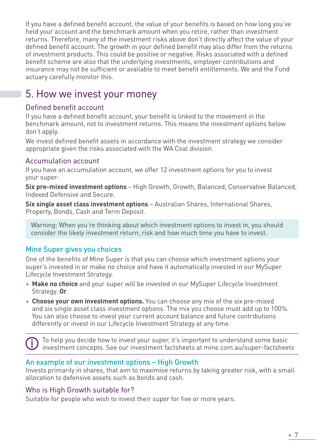If you have a defined benefit account, the value of your benefits is based on how long you've held your account and the benchmark amount when you retire, rather than investment returns. Therefore, many of the investment risks above don't directly affect the value of your defined benefit account. The growth in your defined benefit may also differ from the returns of investment products. This could be positive or negative. Risks associated with a defined benefit scheme are also that the underlying investments, employer contributions and insurance may not be sufficient or available to meet benefit entitlements. We and the Fund actuary carefully monitor this.

## 5. How we invest your money

#### Defined benefit account

If you have a defined benefit account, your benefit is linked to the movement in the benchmark amount, not to investment returns. This means the investment options below don't apply.

We invest defined benefit assets in accordance with the investment strategy we consider appropriate given the risks associated with the WA Coal division.

#### Accumulation account

If you have an accumulation account, we offer 12 investment options for you to invest your super:

**Six pre-mixed investment options** – High Growth, Growth, Balanced, Conservative Balanced, Indexed Defensive and Secure.

**Six single asset class investment options** – Australian Shares, International Shares, Property, Bonds, Cash and Term Deposit.

Warning: When you're thinking about which investment options to invest in, you should consider the likely investment return, risk and how much time you have to invest.

#### Mine Super gives you choices

One of the benefits of Mine Super is that you can choose which investment options your super's invested in or make no choice and have it automatically invested in our MySuper Lifecycle Investment Strategy.

- + **Make no choice** and your super will be invested in our MySuper Lifecycle Investment Strategy. **Or**
- + **Choose your own investment options.** You can choose any mix of the six pre-mixed and six single asset class investment options. The mix you choose must add up to 100%. You can also choose to invest your current account balance and future contributions differently or invest in our Lifecycle Investment Strategy at any time.

 To help you decide how to invest your super, it's important to understand some basic investment concepts. See our investment factsheets at mine.com.au/super-factsheets

#### An example of our investment options – High Growth

Invests primarily in shares, that aim to maximise returns by taking greater risk, with a small allocation to defensive assets such as bonds and cash.

#### Who is High Growth suitable for?

Suitable for people who wish to invest their super for five or more years.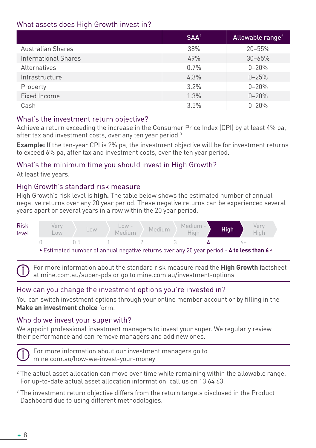#### What assets does High Growth invest in?

|                             | SAA <sup>2</sup> | Allowable range <sup>2</sup> |
|-----------------------------|------------------|------------------------------|
| <b>Australian Shares</b>    | 38%              | $20 - 55%$                   |
| <b>International Shares</b> | 49%              | $30 - 65%$                   |
| Alternatives                | 0.7%             | $0 - 20%$                    |
| Infrastructure              | 4.3%             | $0 - 25%$                    |
| Property                    | 3.2%             | $0 - 20%$                    |
| Fixed Income                | 1.3%             | $0 - 20%$                    |
| Cash                        | 3.5%             | $0 - 20%$                    |

#### What's the investment return objective?

Achieve a return exceeding the increase in the Consumer Price Index (CPI) by at least 4% pa, after tax and investment costs, over any ten year period.<sup>3</sup>

**Example:** If the ten-year CPI is 2% pa, the investment objective will be for investment returns to exceed 6% pa, after tax and investment costs, over the ten year period.

#### What's the minimum time you should invest in High Growth?

At least five years.

#### High Growth's standard risk measure

High Growth's risk level is **high.** The table below shows the estimated number of annual negative returns over any 20 year period. These negative returns can be experienced several years apart or several years in a row within the 20 year period.



Estimated number of annual negative returns over any 20 year period - **4 to less than 6** 

 For more information about the standard risk measure read the **High Growth** factsheet at mine.com.au/super-pds or go to mine.com.au/investment-options

#### How can you change the investment options you're invested in?

You can switch investment options through your online member account or by filling in the **Make an investment choice** form.

#### Who do we invest your super with?

We appoint professional investment managers to invest your super. We regularly review their performance and can remove managers and add new ones.



 For more information about our investment managers go to mine.com.au/how-we-invest-your-money

- $2$  The actual asset allocation can move over time while remaining within the allowable range. For up-to-date actual asset allocation information, call us on 13 64 63.
- <sup>3</sup> The investment return objective differs from the return targets disclosed in the Product Dashboard due to using different methodologies.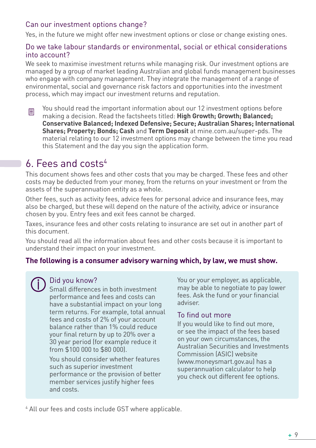#### Can our investment options change?

Yes, in the future we might offer new investment options or close or change existing ones.

#### Do we take labour standards or environmental, social or ethical considerations into account?

We seek to maximise investment returns while managing risk. Our investment options are managed by a group of market leading Australian and global funds management businesses who engage with company management. They integrate the management of a range of environmental, social and governance risk factors and opportunities into the investment process, which may impact our investment returns and reputation.

You should read the important information about our 12 investment options before 圓 making a decision. Read the factsheets titled: **High Growth; Growth; Balanced; Conservative Balanced; Indexed Defensive; Secure; Australian Shares; International Shares; Property; Bonds; Cash** and **Term Deposit** at mine.com.au/super-pds. The material relating to our 12 investment options may change between the time you read this Statement and the day you sign the application form.

## 6. Fees and costs4

This document shows fees and other costs that you may be charged. These fees and other costs may be deducted from your money, from the returns on your investment or from the assets of the superannuation entity as a whole.

Other fees, such as activity fees, advice fees for personal advice and insurance fees, may also be charged, but these will depend on the nature of the activity, advice or insurance chosen by you. Entry fees and exit fees cannot be charged.

Taxes, insurance fees and other costs relating to insurance are set out in another part of this document.

You should read all the information about fees and other costs because it is important to understand their impact on your investment.

#### **The following is a consumer advisory warning which, by law, we must show.**

## Did you know?

Small differences in both investment performance and fees and costs can have a substantial impact on your long term returns. For example, total annual fees and costs of 2% of your account balance rather than 1% could reduce your final return by up to 20% over a 30 year period (for example reduce it from \$100 000 to \$80 000).

You should consider whether features such as superior investment performance or the provision of better member services justify higher fees and costs.

You or your employer, as applicable, may be able to negotiate to pay lower fees. Ask the fund or your financial adviser.

#### To find out more

If you would like to find out more, or see the impact of the fees based on your own circumstances, the Australian Securities and Investments Commission (ASIC) website (www.moneysmart.gov.au) has a superannuation calculator to help you check out different fee options.

4 All our fees and costs include GST where applicable.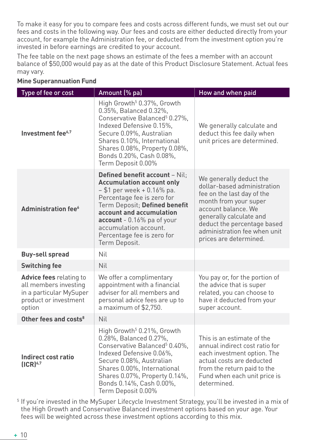To make it easy for you to compare fees and costs across different funds, we must set out our fees and costs in the following way. Our fees and costs are either deducted directly from your account, for example the Administration fee, or deducted from the investment option you're invested in before earnings are credited to your account.

The fee table on the next page shows an estimate of the fees a member with an account balance of \$50,000 would pay as at the date of this Product Disclosure Statement. Actual fees may vary.

| Type of fee or cost                                                                                                   | Amount (% pa)                                                                                                                                                                                                                                                                                               | How and when paid                                                                                                                                                                                                                                        |
|-----------------------------------------------------------------------------------------------------------------------|-------------------------------------------------------------------------------------------------------------------------------------------------------------------------------------------------------------------------------------------------------------------------------------------------------------|----------------------------------------------------------------------------------------------------------------------------------------------------------------------------------------------------------------------------------------------------------|
| Investment fee <sup>6,7</sup>                                                                                         | High Growth <sup>5</sup> 0.37%, Growth<br>0.35%, Balanced 0.32%,<br>Conservative Balanced <sup>5</sup> 0.27%,<br>Indexed Defensive 0.15%,<br>Secure 0.09%, Australian<br>Shares 0.10%, International<br>Shares 0.08%, Property 0.08%,<br>Bonds 0.20%, Cash 0.08%,<br>Term Deposit 0.00%                     | We generally calculate and<br>deduct this fee daily when<br>unit prices are determined.                                                                                                                                                                  |
| <b>Administration fee</b> <sup>6</sup>                                                                                | <b>Defined benefit account - Nil:</b><br><b>Accumulation account only</b><br>- \$1 per week + 0.16% pa.<br>Percentage fee is zero for<br>Term Deposit; Defined benefit<br>account and accumulation<br>$account - 0.16\%$ pa of your<br>accumulation account.<br>Percentage fee is zero for<br>Term Deposit. | We generally deduct the<br>dollar-based administration<br>fee on the last day of the<br>month from your super<br>account balance. We<br>generally calculate and<br>deduct the percentage based<br>administration fee when unit<br>prices are determined. |
| <b>Buy-sell spread</b>                                                                                                | Nil                                                                                                                                                                                                                                                                                                         |                                                                                                                                                                                                                                                          |
| <b>Switching fee</b>                                                                                                  | <b>Nil</b>                                                                                                                                                                                                                                                                                                  |                                                                                                                                                                                                                                                          |
| <b>Advice fees</b> relating to<br>all members investing<br>in a particular MySuper<br>product or investment<br>option | We offer a complimentary<br>appointment with a financial<br>adviser for all members and<br>personal advice fees are up to<br>a maximum of $$2,750$ .                                                                                                                                                        | You pay or, for the portion of<br>the advice that is super<br>related, you can choose to<br>have it deducted from your<br>super account.                                                                                                                 |
| Other fees and costs <sup>8</sup>                                                                                     | <b>Nil</b>                                                                                                                                                                                                                                                                                                  |                                                                                                                                                                                                                                                          |
| Indirect cost ratio<br>$(ICR)^{6,7}$                                                                                  | High Growth <sup>5</sup> 0.21%, Growth<br>0.28%, Balanced 0.27%,<br>Conservative Balanced <sup>5</sup> 0.40%,<br>Indexed Defensive 0.06%.<br>Secure 0.08%, Australian<br>Shares 0.00%, International<br>Shares 0.07%, Property 0.14%,<br>Bonds 0.14%, Cash 0.00%,<br>Term Deposit 0.00%                     | This is an estimate of the<br>annual indirect cost ratio for<br>each investment option. The<br>actual costs are deducted<br>from the return paid to the<br>Fund when each unit price is<br>determined.                                                   |

#### **Mine Superannuation Fund**

5 If you're invested in the MySuper Lifecycle Investment Strategy, you'll be invested in a mix of the High Growth and Conservative Balanced investment options based on your age. Your fees will be weighted across these investment options according to this mix.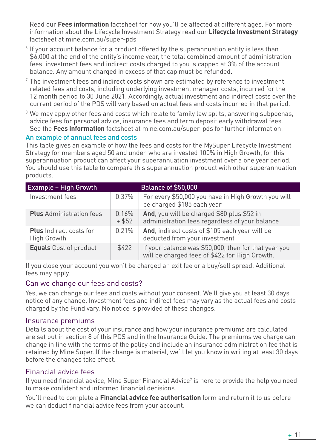Read our **Fees information** factsheet for how you'll be affected at different ages. For more information about the Lifecycle Investment Strategy read our **Lifecycle Investment Strategy** factsheet at mine.com.au/super-pds

- <sup>6</sup> If your account balance for a product offered by the superannuation entity is less than \$6,000 at the end of the entity's income year, the total combined amount of administration fees, investment fees and indirect costs charged to you is capped at 3% of the account balance. Any amount charged in excess of that cap must be refunded.
- <sup>7</sup> The investment fees and indirect costs shown are estimated by reference to investment related fees and costs, including underlying investment manager costs, incurred for the 12 month period to 30 June 2021. Accordingly, actual investment and indirect costs over the current period of the PDS will vary based on actual fees and costs incurred in that period.
- <sup>8</sup> We may apply other fees and costs which relate to family law splits, answering subpoenas, advice fees for personal advice, insurance fees and term deposit early withdrawal fees. See the **Fees information** factsheet at mine.com.au/super-pds for further information.

#### An example of annual fees and costs

This table gives an example of how the fees and costs for the MySuper Lifecycle Investment Strategy for members aged 50 and under, who are invested 100% in High Growth, for this superannuation product can affect your superannuation investment over a one year period. You should use this table to compare this superannuation product with other superannuation products.

| <b>Example - High Growth</b>                  |                   | <b>Balance of \$50,000</b>                                                                             |
|-----------------------------------------------|-------------------|--------------------------------------------------------------------------------------------------------|
| Investment fees                               | 0.37%             | For every \$50,000 you have in High Growth you will<br>be charged \$185 each year                      |
| <b>Plus</b> Administration fees               | 0.16%<br>$+$ \$52 | And, you will be charged \$80 plus \$52 in<br>administration fees regardless of your balance           |
| <b>Plus</b> Indirect costs for<br>High Growth | 0.21%             | And, indirect costs of \$105 each year will be<br>deducted from your investment                        |
| <b>Equals</b> Cost of product                 | \$422             | If your balance was \$50,000, then for that year you<br>will be charged fees of \$422 for High Growth. |

If you close your account you won't be charged an exit fee or a buy/sell spread. Additional fees may apply.

#### Can we change our fees and costs?

Yes, we can change our fees and costs without your consent. We'll give you at least 30 days notice of any change. Investment fees and indirect fees may vary as the actual fees and costs charged by the Fund vary. No notice is provided of these changes.

#### Insurance premiums

Details about the cost of your insurance and how your insurance premiums are calculated are set out in section 8 of this PDS and in the Insurance Guide. The premiums we charge can change in line with the terms of the policy and include an insurance administration fee that is retained by Mine Super. If the change is material, we'll let you know in writing at least 30 days before the changes take effect.

#### Financial advice fees

If you need financial advice, Mine Super Financial Advice<sup>9</sup> is here to provide the help you need to make confident and informed financial decisions.

You'll need to complete a **Financial advice fee authorisation** form and return it to us before we can deduct financial advice fees from your account.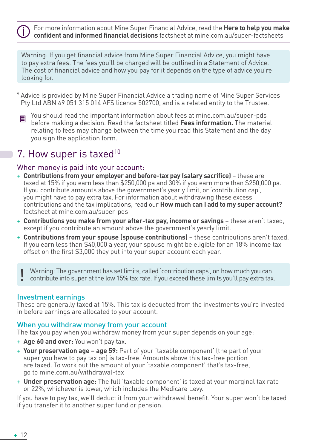For more information about Mine Super Financial Advice, read the **Here to help you make confident and informed financial decisions** factsheet at mine.com.au/super-factsheets

Warning: If you get financial advice from Mine Super Financial Advice, you might have to pay extra fees. The fees you'll be charged will be outlined in a Statement of Advice. The cost of financial advice and how you pay for it depends on the type of advice you're looking for.

- <sup>9</sup> Advice is provided by Mine Super Financial Advice a trading name of Mine Super Services Pty Ltd ABN 49 051 315 014 AFS licence 502700, and is a related entity to the Trustee.
- You should read the important information about fees at mine.com.au/super-pds 圁 before making a decision. Read the factsheet titled **Fees information.** The material relating to fees may change between the time you read this Statement and the day you sign the application form.

## 7. How super is taxed<sup>10</sup>

#### When money is paid into your account:

- + **Contributions from your employer and before-tax pay (salary sacrifice)**  these are taxed at 15% if you earn less than \$250,000 pa and 30% if you earn more than \$250,000 pa. If you contribute amounts above the government's yearly limit, or 'contribution cap', you might have to pay extra tax. For information about withdrawing these excess contributions and the tax implications, read our **How much can I add to my super account?**  factsheet at mine.com.au/super-pds
- + **Contributions you make from your after-tax pay, income or savings**  these aren't taxed, except if you contribute an amount above the government's yearly limit.
- + **Contributions from your spouse (spouse contributions)** these contributions aren't taxed. If you earn less than \$40,000 a year, your spouse might be eligible for an 18% income tax offset on the first \$3,000 they put into your super account each year.

Warning: The government has set limits, called 'contribution caps', on how much you can<br>! contribute into super at the low 15% tax rate. If you exceed these limits you'll pay extra tax.

#### Investment earnings

These are generally taxed at 15%. This tax is deducted from the investments you're invested in before earnings are allocated to your account.

#### When you withdraw money from your account

The tax you pay when you withdraw money from your super depends on your age:

- + **Age 60 and over:** You won't pay tax.
- + **Your preservation age age 59:** Part of your 'taxable component' (the part of your super you have to pay tax on) is tax-free. Amounts above this tax-free portion are taxed. To work out the amount of your 'taxable component' that's tax-free, go to mine.com.au/withdrawal-tax
- + **Under preservation age:** The full 'taxable component' is taxed at your marginal tax rate or 22%, whichever is lower, which includes the Medicare Levy.

If you have to pay tax, we'll deduct it from your withdrawal benefit. Your super won't be taxed if you transfer it to another super fund or pension.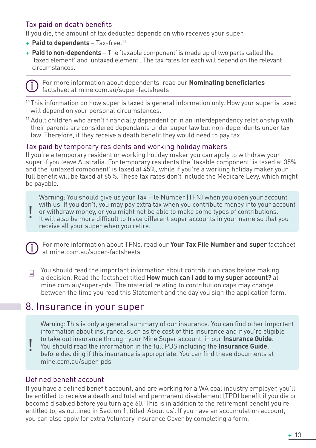#### Tax paid on death benefits

If you die, the amount of tax deducted depends on who receives your super.

- + **Paid to dependents**  Tax-free.11
- + **Paid to non-dependents**  The 'taxable component' is made up of two parts called the 'taxed element' and 'untaxed element'. The tax rates for each will depend on the relevant circumstances.



 For more information about dependents, read our **Nominating beneficiaries** factsheet at mine.com.au/super-factsheets

<sup>10</sup> This information on how super is taxed is general information only. How your super is taxed will depend on your personal circumstances.

<sup>11</sup> Adult children who aren't financially dependent or in an interdependency relationship with their parents are considered dependants under super law but non-dependents under tax law. Therefore, if they receive a death benefit they would need to pay tax.

#### Tax paid by temporary residents and working holiday makers

If you're a temporary resident or working holiday maker you can apply to withdraw your super if you leave Australia. For temporary residents the 'taxable component' is taxed at 35% and the 'untaxed component' is taxed at 45%, while if you're a working holiday maker your full benefit will be taxed at 65%. These tax rates don't include the Medicare Levy, which might be payable.

Warning: You should give us your Tax File Number (TFN) when you open your account with us. If you don't, you may pay extra tax when you contribute money into your account or withdraw money, or you might not be able to make some types of contributions.

It will also be more difficult to trace different super accounts in your name so that you receive all your super when you retire. !

 For more information about TFNs, read our **Your Tax File Number and super** factsheet at mine.com.au/super-factsheets

 $\Box$  You should read the important information about contribution caps before making a decision. Read the factsheet titled **How much can I add to my super account?** at mine.com.au/super-pds. The material relating to contribution caps may change between the time you read this Statement and the day you sign the application form.

## 8. Insurance in your super

Warning: This is only a general summary of our insurance. You can find other important information about insurance, such as the cost of this insurance and if you're eligible to take out insurance through your Mine Super account, in our **Insurance Guide**.

You should read the information in the full PDS including the **Insurance Guide**, before deciding if this insurance is appropriate. You can find these documents at mine.com.au/super-pds !

#### Defined benefit account

If you have a defined benefit account, and are working for a WA coal industry employer, you'll be entitled to receive a death and total and permanent disablement (TPD) benefit if you die or become disabled before you turn age 60. This is in addition to the retirement benefit you're entitled to, as outlined in Section 1, titled 'About us'. If you have an accumulation account, you can also apply for extra Voluntary Insurance Cover by completing a form.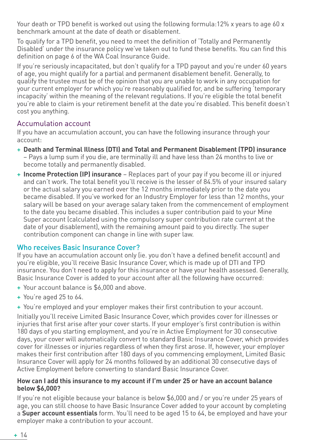Your death or TPD benefit is worked out using the following formula:12% x years to age 60 x benchmark amount at the date of death or disablement.

To qualify for a TPD benefit, you need to meet the definition of 'Totally and Permanently Disabled' under the insurance policy we've taken out to fund these benefits. You can find this definition on page 6 of the WA Coal Insurance Guide.

If you're seriously incapacitated, but don't qualify for a TPD payout and you're under 60 years of age, you might qualify for a partial and permanent disablement benefit. Generally, to qualify the trustee must be of the opinion that you are unable to work in any occupation for your current employer for which you're reasonably qualified for, and be suffering 'temporary incapacity' within the meaning of the relevant regulations. If you're eligible the total benefit you're able to claim is your retirement benefit at the date you're disabled. This benefit doesn't cost you anything.

#### Accumulation account

If you have an accumulation account, you can have the following insurance through your account:

- + **Death and Terminal Illness (DTI) and Total and Permanent Disablement (TPD) insurance** – Pays a lump sum if you die, are terminally ill and have less than 24 months to live or become totally and permanently disabled.
- + **Income Protection (IP) insurance** Replaces part of your pay if you become ill or injured and can't work. The total benefit you'll receive is the lesser of 84.5% of your insured salary or the actual salary you earned over the 12 months immediately prior to the date you became disabled. If you've worked for an Industry Employer for less than 12 months, your salary will be based on your average salary taken from the commencement of employment to the date you became disabled. This includes a super contribution paid to your Mine Super account (calculated using the compulsory super contribution rate current at the date of your disablement), with the remaining amount paid to you directly. The super contribution component can change in line with super law.

#### Who receives Basic Insurance Cover?

If you have an accumulation account only (ie. you don't have a defined benefit account) and you're eligible, you'll receive Basic Insurance Cover, which is made up of DTI and TPD insurance. You don't need to apply for this insurance or have your health assessed. Generally, Basic Insurance Cover is added to your account after all the following have occurred:

- + Your account balance is \$6,000 and above.
- + You're aged 25 to 64.
- + You're employed and your employer makes their first contribution to your account.

Initially you'll receive Limited Basic Insurance Cover, which provides cover for illnesses or injuries that first arise after your cover starts. If your employer's first contribution is within 180 days of you starting employment, and you're in Active Employment for 30 consecutive days, your cover will automatically convert to standard Basic Insurance Cover, which provides cover for illnesses or injuries regardless of when they first arose. If, however, your employer makes their first contribution after 180 days of you commencing employment, Limited Basic Insurance Cover will apply for 24 months followed by an additional 30 consecutive days of Active Employment before converting to standard Basic Insurance Cover.

#### **How can I add this insurance to my account if I'm under 25 or have an account balance below \$6,000?**

If you're not eligible because your balance is below \$6,000 and / or you're under 25 years of age, you can still choose to have Basic Insurance Cover added to your account by completing a **Super account essentials** form. You'll need to be aged 15 to 64, be employed and have your employer make a contribution to your account.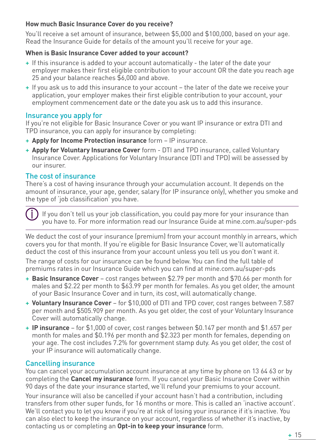#### **How much Basic Insurance Cover do you receive?**

You'll receive a set amount of insurance, between \$5,000 and \$100,000, based on your age. Read the Insurance Guide for details of the amount you'll receive for your age.

#### **When is Basic Insurance Cover added to your account?**

- + If this insurance is added to your account automatically the later of the date your employer makes their first eligible contribution to your account OR the date you reach age 25 and your balance reaches \$6,000 and above.
- + If you ask us to add this insurance to your account the later of the date we receive your application, your employer makes their first eligible contribution to your account, your employment commencement date or the date you ask us to add this insurance.

#### Insurance you apply for

If you're not eligible for Basic Insurance Cover or you want IP insurance or extra DTI and TPD insurance, you can apply for insurance by completing:

- + **Apply for Income Protection insurance** form IP insurance.
- + **Apply for Voluntary Insurance Cover** form DTI and TPD insurance, called Voluntary Insurance Cover. Applications for Voluntary Insurance (DTI and TPD) will be assessed by our insurer.

#### The cost of insurance

There's a cost of having insurance through your accumulation account. It depends on the amount of insurance, your age, gender, salary (for IP insurance only), whether you smoke and the type of 'job classification' you have.

 If you don't tell us your job classification, you could pay more for your insurance than you have to. For more information read our Insurance Guide at mine.com.au/super-pds

We deduct the cost of your insurance (premium) from your account monthly in arrears, which covers you for that month. If you're eligible for Basic Insurance Cover, we'll automatically deduct the cost of this insurance from your account unless you tell us you don't want it.

The range of costs for our insurance can be found below. You can find the full table of premiums rates in our Insurance Guide which you can find at mine.com.au/super-pds

- + **Basic Insurance Cover** cost ranges between \$2.79 per month and \$70.66 per month for males and \$2.22 per month to \$63.99 per month for females. As you get older, the amount of your Basic Insurance Cover and in turn, its cost, will automatically change.
- + **Voluntary Insurance Cover**  for \$10,000 of DTI and TPD cover, cost ranges between 7.587 per month and \$505.909 per month. As you get older, the cost of your Voluntary Insurance Cover will automatically change.
- + **IP insurance** for \$1,000 of cover, cost ranges between \$0.147 per month and \$1.657 per month for males and \$0.196 per month and \$2.323 per month for females, depending on your age. The cost includes 7.2% for government stamp duty. As you get older, the cost of your IP insurance will automatically change.

#### Cancelling insurance

You can cancel your accumulation account insurance at any time by phone on 13 64 63 or by completing the **Cancel my insurance** form. If you cancel your Basic Insurance Cover within 90 days of the date your insurance started, we'll refund your premiums to your account.

Your insurance will also be cancelled if your account hasn't had a contribution, including transfers from other super funds, for 16 months or more. This is called an 'inactive account'. We'll contact you to let you know if you're at risk of losing your insurance if it's inactive. You can also elect to keep the insurance on your account, regardless of whether it's inactive, by contacting us or completing an **Opt-in to keep your insurance** form.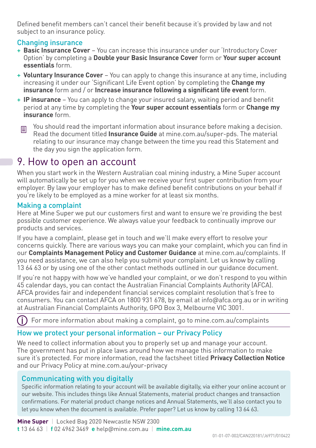Defined benefit members can't cancel their benefit because it's provided by law and not subject to an insurance policy.

#### Changing insurance

- + **Basic Insurance Cover** You can increase this insurance under our 'Introductory Cover Option' by completing a **Double your Basic Insurance Cover** form or **Your super account essentials** form.
- + **Voluntary Insurance Cover** You can apply to change this insurance at any time, including increasing it under our 'Significant Life Event option' by completing the **Change my insurance** form and / or **Increase insurance following a significant life event** form.
- + **IP insurance** You can apply to change your insured salary, waiting period and benefit period at any time by completing the **Your super account essentials** form or **Change my insurance** form.
- You should read the important information about insurance before making a decision. 目 Read the document titled **Insurance Guide** at mine.com.au/super-pds. The material relating to our insurance may change between the time you read this Statement and the day you sign the application form.

## 9. How to open an account

When you start work in the Western Australian coal mining industry, a Mine Super account will automatically be set up for you when we receive your first super contribution from your employer. By law your employer has to make defined benefit contributions on your behalf if you're likely to be employed as a mine worker for at least six months.

#### Making a complaint

Here at Mine Super we put our customers first and want to ensure we're providing the best possible customer experience. We always value your feedback to continually improve our products and services.

If you have a complaint, please get in touch and we'll make every effort to resolve your concerns quickly. There are various ways you can make your complaint, which you can find in our **Complaints Management Policy and Customer Guidance** at mine.com.au/complaints. If you need assistance, we can also help you submit your complaint. Let us know by calling 13 64 63 or by using one of the other contact methods outlined in our guidance document.

If you're not happy with how we've handled your complaint, or we don't respond to you within 45 calendar days, you can contact the Australian Financial Complaints Authority (AFCA). AFCA provides fair and independent financial services complaint resolution that's free to consumers. You can contact AFCA on 1800 931 678, by email at info@afca.org.au or in writing at Australian Financial Complaints Authority, GPO Box 3, Melbourne VIC 3001.

For more information about making a complaint, go to mine.com.au/complaints

#### How we protect your personal information – our Privacy Policy

We need to collect information about you to properly set up and manage your account. The government has put in place laws around how we manage this information to make sure it's protected. For more information, read the factsheet titled **Privacy Collection Notice** and our Privacy Policy at mine.com.au/your-privacy

#### Communicating with you digitally

Specific information relating to your account will be available digitally, via either your online account or our website. This includes things like Annual Statements, material product changes and transaction confirmations. For material product change notices and Annual Statements, we'll also contact you to let you know when the document is available. Prefer paper? Let us know by calling 13 64 63.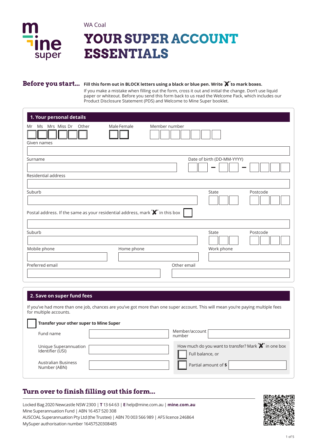

WA Coal

# **YOUR SUPER ACCOUNT ESSENTIALS**

#### **Before you start... Fill this form out in BLOCK letters using a black or blue pen. Write ' ' to mark boxes.**

If you make a mistake when filling out the form, cross it out and initial the change. Don't use liquid paper or whiteout. Before you send this form back to us read the Welcome Pack, which includes our Product Disclosure Statement (PDS) and Welcome to Mine Super booklet.

| 1. Your personal details                                                                                                                  |             |                            |
|-------------------------------------------------------------------------------------------------------------------------------------------|-------------|----------------------------|
| Mrs Miss Dr<br>Other<br>Ms<br>Mr<br>Given names                                                                                           | Male Female | Member number              |
| Surname                                                                                                                                   |             | Date of birth (DD-MM-YYYY) |
| Residential address                                                                                                                       |             |                            |
| Suburb<br>Postal address. If the same as your residential address, mark $\mathbf{\mathbf{\mathsf{X}}'}$ in this box $\mathbf{\mathsf{I}}$ |             | Postcode<br>State          |
| Suburb                                                                                                                                    |             | State<br>Postcode          |
| Mobile phone                                                                                                                              | Home phone  | Work phone                 |
| Preferred email                                                                                                                           |             | Other email                |

#### **2. Save on super fund fees**

If you've had more than one job, chances are you've got more than one super account. This will mean you're paying multiple fees for multiple accounts.

| Transfer your other super to Mine Super   |                                                                                |
|-------------------------------------------|--------------------------------------------------------------------------------|
| Fund name                                 | Member/account<br>number                                                       |
| Unique Superannuation<br>Identifier (USI) | How much do you want to transfer? Mark <b>X</b> in one box<br>Full balance, or |
| Australian Business<br>Number (ABN)       | Partial amount of \$                                                           |

## **Turn over to finish filling out this form...**

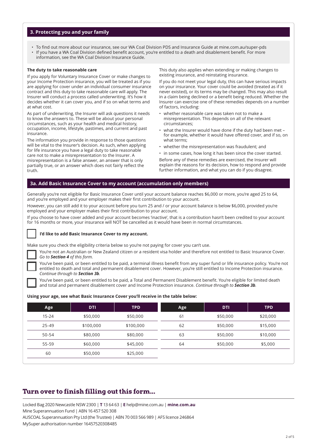#### **3. Protecting you and your family**

- To find out more about our insurance, see our WA Coal Division PDS and Insurance Guide at mine.com.au/super-pds
- If you have a WA Coal Division defined benefit account, you're entitled to a death and disablement benefit. For more information, see the WA Coal Division Insurance Guide.

#### **The duty to take reasonable care**

If you apply for Voluntary Insurance Cover or make changes to your Income Protection insurance, you will be treated as if you are applying for cover under an individual consumer insurance contract and this duty to take reasonable care will apply. The Insurer will conduct a process called underwriting. It's how it decides whether it can cover you, and if so on what terms and at what cost.

As part of underwriting, the Insurer will ask questions it needs to know the answers to. These will be about your personal circumstances, such as your health and medical history, occupation, income, lifestyle, pastimes, and current and past insurance.

The information you provide in response to those questions will be vital to the Insurer's decision. As such, when applying for life insurance you have a legal duty to take reasonable care not to make a misrepresentation to the Insurer. A misrepresentation is a false answer, an answer that is only partially true, or an answer which does not fairly reflect the truth.

This duty also applies when extending or making changes to existing insurance, and reinstating insurance.

If you do not meet your legal duty, this can have serious impacts on your insurance. Your cover could be avoided (treated as if it never existed), or its terms may be changed. This may also result in a claim being declined or a benefit being reduced. Whether the Insurer can exercise one of these remedies depends on a number of factors, including:

- whether reasonable care was taken not to make a misrepresentation. This depends on all of the relevant circumstances;
- what the Insurer would have done if the duty had been met for example, whether it would have offered cover, and if so, on what terms;
- whether the misrepresentation was fraudulent; and
- in some cases, how long it has been since the cover started.

Before any of these remedies are exercised, the Insurer will explain the reasons for its decision, how to respond and provide further information, and what you can do if you disagree.

#### **3a. Add Basic Insurance Cover to my account (accumulation only members)**

Generally you're not eligible for Basic Insurance Cover until your account balance reaches \$6,000 or more, you're aged 25 to 64, and you're employed and your employer makes their first contribution to your account.

However, you can still add it to your account before you turn 25 and / or your account balance is below \$6,000, provided you're employed and your employer makes their first contribution to your account.

If you choose to have cover added and your account becomes 'inactive', that is a contribution hasn't been credited to your account for 16 months or more, your insurance will NOT be cancelled as it would have been in normal circumstances.

#### **I'd like to add Basic Insurance Cover to my account.**

Make sure you check the eligibility criteria below so you're not paying for cover you can't use.

 You're not an Australian or New Zealand citizen or a resident visa holder and therefore not entitled to Basic Insurance Cover. *Go to Section 4 of this form.*

 You've been paid, or been entitled to be paid, a terminal illness benefit from any super fund or life insurance policy. You're not entitled to death and total and permanent disablement cover. However, you're still entitled to Income Protection insurance. *Continue through to Section 3b.*

 You've been paid, or been entitled to be paid, a Total and Permanent Disablement benefit. You're eligible for limited death and total and permanent disablement cover and Income Protection insurance. *Continue through to Section 3b.*

#### **Using your age, see what Basic Insurance Cover you'll receive in the table below:**

| Age       | <b>DTI</b> | <b>TPD</b> | Age | <b>DTI</b> | <b>TPD</b> |
|-----------|------------|------------|-----|------------|------------|
| $15 - 24$ | \$50,000   | \$50,000   | 61  | \$50,000   | \$20,000   |
| $25 - 49$ | \$100,000  | \$100,000  | 62  | \$50,000   | \$15,000   |
| 50-54     | \$80,000   | \$80,000   | 63  | \$50,000   | \$10,000   |
| 55-59     | \$60,000   | \$45,000   | 64  | \$50,000   | \$5,000    |
| 60        | \$50,000   | \$25,000   |     |            |            |

## **Turn over to finish filling out this form...**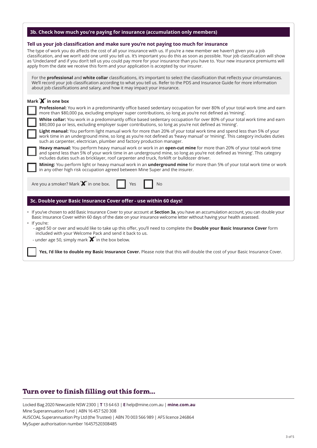| 3b. Check how much you're paying for insurance (accumulation only members)                                                                                                                                                                                                                                                                                                                                                                                                                                                                                                                                                                                                                                                                                                                                                                                                                                                                                                                                                                                                                                                                                                                                                                                                                                                                                                                                             |
|------------------------------------------------------------------------------------------------------------------------------------------------------------------------------------------------------------------------------------------------------------------------------------------------------------------------------------------------------------------------------------------------------------------------------------------------------------------------------------------------------------------------------------------------------------------------------------------------------------------------------------------------------------------------------------------------------------------------------------------------------------------------------------------------------------------------------------------------------------------------------------------------------------------------------------------------------------------------------------------------------------------------------------------------------------------------------------------------------------------------------------------------------------------------------------------------------------------------------------------------------------------------------------------------------------------------------------------------------------------------------------------------------------------------|
| Tell us your job classification and make sure you're not paying too much for insurance<br>The type of work you do affects the cost of all your insurance with us. If you're a new member we haven't given you a job<br>classification, and we won't add one until you tell us. It's important you do this as soon as possible. Your job classification will show<br>as 'Undeclared' and if you don't tell us you could pay more for your insurance than you have to. Your new insurance premiums will<br>apply from the date we receive this form and your application is accepted by our insurer.                                                                                                                                                                                                                                                                                                                                                                                                                                                                                                                                                                                                                                                                                                                                                                                                                     |
| For the <b>professional</b> and white collar classifications, it's important to select the classification that reflects your circumstances.<br>We'll record your job classification according to what you tell us. Refer to the PDS and Insurance Guide for more information<br>about job classifications and salary, and how it may impact your insurance.                                                                                                                                                                                                                                                                                                                                                                                                                                                                                                                                                                                                                                                                                                                                                                                                                                                                                                                                                                                                                                                            |
| Mark $\mathbf{\mathsf{X}}'$ in one box<br>Professional: You work in a predominantly office based sedentary occupation for over 80% of your total work time and earn<br>more than \$80,000 pa, excluding employer super contributions, so long as you're not defined as 'mining'.<br>White collar: You work in a predominantly office based sedentary occupation for over 80% of your total work time and earn<br>\$80,000 pa or less, excluding employer super contributions, so long as you're not defined as 'mining'.<br>Light manual: You perform light manual work for more than 20% of your total work time and spend less than 5% of your<br>work time in an underground mine, so long as you're not defined as 'heavy manual' or 'mining'. This category includes duties<br>such as carpenter, electrician, plumber and factory production manager.<br>Heavy manual: You perform heavy manual work or work in an open-cut mine for more than 20% of your total work time<br>and spend less than 5% of your work time in an underground mine, so long as you're not defined as 'mining'. This category<br>includes duties such as bricklayer, roof carpenter and truck, forklift or bulldozer driver.<br>Mining: You perform light or heavy manual work in an underground mine for more than 5% of your total work time or work<br>in any other high risk occupation agreed between Mine Super and the insurer. |
| Are you a smoker? Mark <b>X</b> in one box.<br>Yes<br>No                                                                                                                                                                                                                                                                                                                                                                                                                                                                                                                                                                                                                                                                                                                                                                                                                                                                                                                                                                                                                                                                                                                                                                                                                                                                                                                                                               |
| 3c. Double your Basic Insurance Cover offer - use within 60 days!                                                                                                                                                                                                                                                                                                                                                                                                                                                                                                                                                                                                                                                                                                                                                                                                                                                                                                                                                                                                                                                                                                                                                                                                                                                                                                                                                      |
| • If you've chosen to add Basic Insurance Cover to your account at Section 3a, you have an accumulation account, you can double your<br>Basic Insurance Cover within 60 days of the date on your insurance welcome letter without having your health assessed.<br>• If you're:<br>- aged 50 or over and would like to take up this offer, you'll need to complete the Double your Basic Insurance Cover form<br>included with your Welcome Pack and send it back to us.<br>- under age 50, simply mark $\mathbf{\hat{X}}'$ in the box below.                                                                                                                                                                                                                                                                                                                                                                                                                                                                                                                                                                                                                                                                                                                                                                                                                                                                           |

 **Yes, I'd like to double my Basic Insurance Cover.** Please note that this will double the cost of your Basic Insurance Cover.

## **Turn over to finish filling out this form...**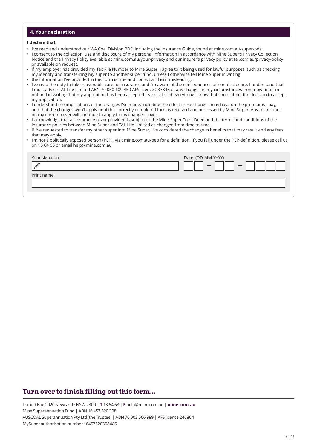#### **4. Your declaration**

#### **I declare that:**

- I've read and understood our WA Coal Division PDS, including the Insurance Guide, found at mine.com.au/super-pds
- I consent to the collection, use and disclosure of my personal information in accordance with Mine Super's Privacy Collection Notice and the Privacy Policy available at mine.com.au/your-privacy and our insurer's privacy policy at tal.com.au/privacy-policy or available on request.
- if my employer has provided my Tax File Number to Mine Super, I agree to it being used for lawful purposes, such as checking my identity and transferring my super to another super fund, unless I otherwise tell Mine Super in writing.
- the information I've provided in this form is true and correct and isn't misleading.
- I've read the duty to take reasonable care for insurance and I'm aware of the consequences of non-disclosure. I understand that I must advise TAL Life Limited ABN 70 050 109 450 AFS licence 237848 of any changes in my circumstances from now until I'm notified in writing that my application has been accepted. I've disclosed everything I know that could affect the decision to accept my application.
- I understand the implications of the changes I've made, including the effect these changes may have on the premiums I pay, and that the changes won't apply until this correctly completed form is received and processed by Mine Super. Any restrictions on my current cover will continue to apply to my changed cover.
- I acknowledge that all insurance cover provided is subject to the Mine Super Trust Deed and the terms and conditions of the insurance policies between Mine Super and TAL Life Limited as changed from time to time.
- if I've requested to transfer my other super into Mine Super, I've considered the change in benefits that may result and any fees that may apply.
- I'm not a politically exposed person (PEP). Visit mine.com.au/pep for a definition. If you fall under the PEP definition, please call us on 13 64 63 or email help@mine.com.au

| Your signature | Date (DD-MM-YYYY) |
|----------------|-------------------|
|                | $\sim$            |
| Print name     |                   |
|                |                   |
|                |                   |

## **Turn over to finish filling out this form...**